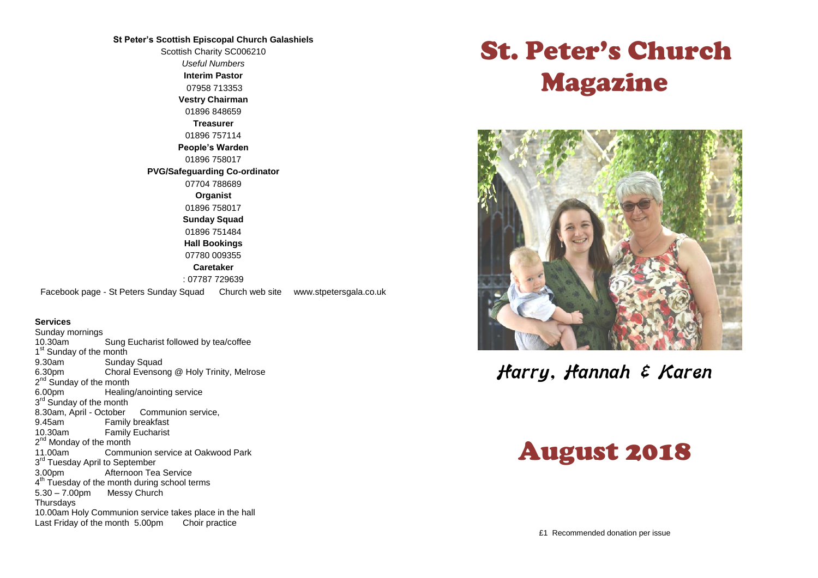#### **St Peter's Scottish Episcopal Church Galashiels**

Scottish Charity SC006210 *Useful Numbers*  **Interim Pastor** 07958 713353 **Vestry Chairman** 01896 848659 **Treasurer** 01896 757114 **People's Warden** 01896 758017 **PVG/Safeguarding Co-ordinator** 07704 788689 **Organist** 01896 758017 **Sunday Squad** 01896 751484 **Hall Bookings** 07780 009355 **Caretaker** : 07787 729639 Facebook page - St Peters Sunday Squad Church web site www.stpetersgala.co.uk

#### **Services**

Sunday mornings<br>10.30am Sung Eucharist followed by tea/coffee 1<sup>st</sup> Sunday of the month 9.30am Sunday Squad 6.30pm Choral Evensong @ Holy Trinity, Melrose 2<sup>nd</sup> Sunday of the month 6.00pm Healing/anointing service 3<sup>rd</sup> Sunday of the month 8.30am, April - October Communion service, 9.45am Family breakfast<br>10.30am Family Fucharist **Family Eucharist** 2<sup>nd</sup> Monday of the month 11.00am Communion service at Oakwood Park 3<sup>rd</sup> Tuesday April to September 3.00pm Afternoon Tea Service 4<sup>th</sup> Tuesday of the month during school terms 5.30 – 7.00pm Messy Church Thursdays 10.00am Holy Communion service takes place in the hall Last Friday of the month 5.00pm Choir practice

# St. Peter's Church Magazine



Harry, Hannah & Karen

# August 2018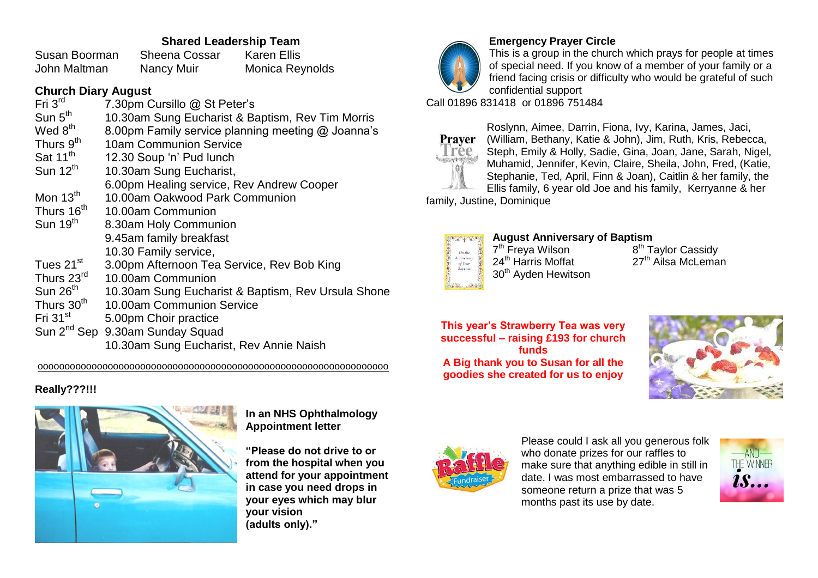## **Shared Leadership Team**

Susan Boorman Sheena Cossar Karen Ellis John Maltman Nancy Muir Monica Reynolds

#### **Church Diary August**

| Fri 3 <sup>rd</sup>                   | 7.30pm Cursillo @ St Peter's                       |
|---------------------------------------|----------------------------------------------------|
| $\mathsf{Sun}~\mathsf{5}^\mathsf{th}$ | 10.30am Sung Eucharist & Baptism, Rev Tim Morris   |
| Wed $8^{\sf th}$                      | 8.00pm Family service planning meeting @ Joanna's  |
| Thurs $9^{\sf th}$                    | 10am Communion Service                             |
| Sat 11 <sup>th</sup>                  | 12.30 Soup 'n' Pud lunch                           |
| Sun 12 <sup>th</sup>                  | 10.30am Sung Eucharist,                            |
|                                       | 6.00pm Healing service, Rev Andrew Cooper          |
| Mon 13 $^{\text{th}}$                 | 10.00am Oakwood Park Communion                     |
| Thurs 16 <sup>th</sup>                | 10.00am Communion                                  |
| $Sun$ 19 $^{\text{th}}$               | 8.30am Holy Communion                              |
|                                       | 9.45am family breakfast                            |
|                                       | 10.30 Family service,                              |
| Tues 21 $^{\rm st}$                   | 3.00pm Afternoon Tea Service, Rev Bob King         |
| Thurs 23 $^{\sf rd}$                  | 10.00am Communion                                  |
| $\mathsf{Sun}\,26^\mathsf{th}$        | 10.30am Sung Eucharist & Baptism, Rev Ursula Shone |
| Thurs 30 <sup>th</sup>                | 10.00am Communion Service                          |
| $Fri~31^{\rm st}$                     | 5.00pm Choir practice                              |
|                                       | Sun 2 <sup>nd</sup> Sep 9.30am Sunday Squad        |
|                                       | 10.30am Sung Eucharist, Rev Annie Naish            |

ooooooooooooooooooooooooooooooooooooooooooooooooooooooooooooooooo

## **Really???!!!**



**In an NHS Ophthalmology Appointment letter**

**"Please do not drive to or from the hospital when you attend for your appointment in case you need drops in your eyes which may blur your vision (adults only)."**



**Emergency Prayer Circle**

This is a group in the church which prays for people at times of special need. If you know of a member of your family or a friend facing crisis or difficulty who would be grateful of such confidential support

Call 01896 831418 or 01896 751484



Roslynn, Aimee, Darrin, Fiona, Ivy, Karina, James, Jaci, (William, Bethany, Katie & John), Jim, Ruth, Kris, Rebecca, Steph, Emily & Holly, Sadie, Gina, Joan, Jane, Sarah, Nigel, Muhamid, Jennifer, Kevin, Claire, Sheila, John, Fred, (Katie, Stephanie, Ted, April, Finn & Joan), Caitlin & her family, the Ellis family, 6 year old Joe and his family, Kerryanne & her

family, Justine, Dominique



**August Anniversary of Baptism** 7<sup>th</sup> Freya Wilson 8 24<sup>th</sup> Harris Moffat 30<sup>th</sup> Avden Hewitson

 $8^{\text{th}}$  Taylor Cassidy<br>27<sup>th</sup> Ailsa McLeman

**This year's Strawberry Tea was very successful – raising £193 for church funds A Big thank you to Susan for all the goodies she created for us to enjoy**





Please could I ask all you generous folk who donate prizes for our raffles to make sure that anything edible in still in date. I was most embarrassed to have someone return a prize that was 5 months past its use by date.

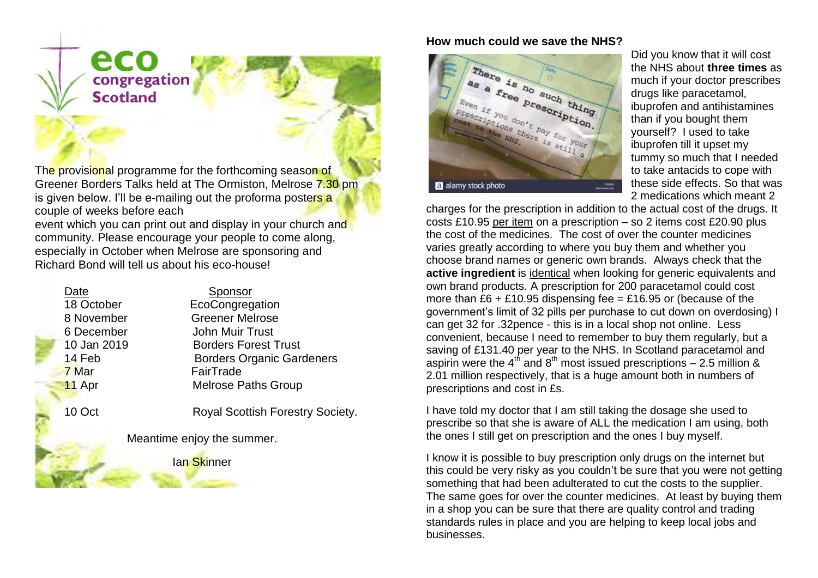

The provisional programme for the forthcoming season of Greener Borders Talks held at The Ormiston, Melrose 7.30 pm is given below. I'll be e-mailing out the proforma posters a couple of weeks before each

event which you can print out and display in your church and community. Please encourage your people to come along, especially in October when Melrose are sponsoring and Richard Bond will tell us about his eco-house!

| Date        | Sponsor                          |  |
|-------------|----------------------------------|--|
| 18 October  | EcoCongregation                  |  |
| 8 November  | <b>Greener Melrose</b>           |  |
| 6 December  | John Muir Trust                  |  |
| 10 Jan 2019 | <b>Borders Forest Trust</b>      |  |
| 14 Feb      | <b>Borders Organic Gardeners</b> |  |
| 7 Mar       | FairTrade                        |  |
| 11 Apr      | <b>Melrose Paths Group</b>       |  |
|             |                                  |  |

10 Oct Royal Scottish Forestry Society.

Meantime enjoy the summer.

Ian Skinner

## **How much could we save the NHS?**



Did you know that it will cost the NHS about **three times** as much if your doctor prescribes drugs like paracetamol, ibuprofen and antihistamines than if you bought them yourself? I used to take ibuprofen till it upset my tummy so much that I needed to take antacids to cope with these side effects. So that was 2 medications which meant 2

charges for the prescription in addition to the actual cost of the drugs. It costs £10.95 per item on a prescription – so 2 items cost £20.90 plus the cost of the medicines. The cost of over the counter medicines varies greatly according to where you buy them and whether you choose brand names or generic own brands. Always check that the **active ingredient** is identical when looking for generic equivalents and own brand products. A prescription for 200 paracetamol could cost more than  $£6 + £10.95$  dispensing fee = £16.95 or (because of the government's limit of 32 pills per purchase to cut down on overdosing) I can get 32 for .32pence - this is in a local shop not online. Less convenient, because I need to remember to buy them regularly, but a saving of £131.40 per year to the NHS. In Scotland paracetamol and aspirin were the  $4<sup>th</sup>$  and  $8<sup>th</sup>$  most issued prescriptions – 2.5 million & 2.01 million respectively, that is a huge amount both in numbers of prescriptions and cost in £s.

I have told my doctor that I am still taking the dosage she used to prescribe so that she is aware of ALL the medication I am using, both the ones I still get on prescription and the ones I buy myself.

I know it is possible to buy prescription only drugs on the internet but this could be very risky as you couldn't be sure that you were not getting something that had been adulterated to cut the costs to the supplier. The same goes for over the counter medicines. At least by buying them in a shop you can be sure that there are quality control and trading standards rules in place and you are helping to keep local jobs and businesses.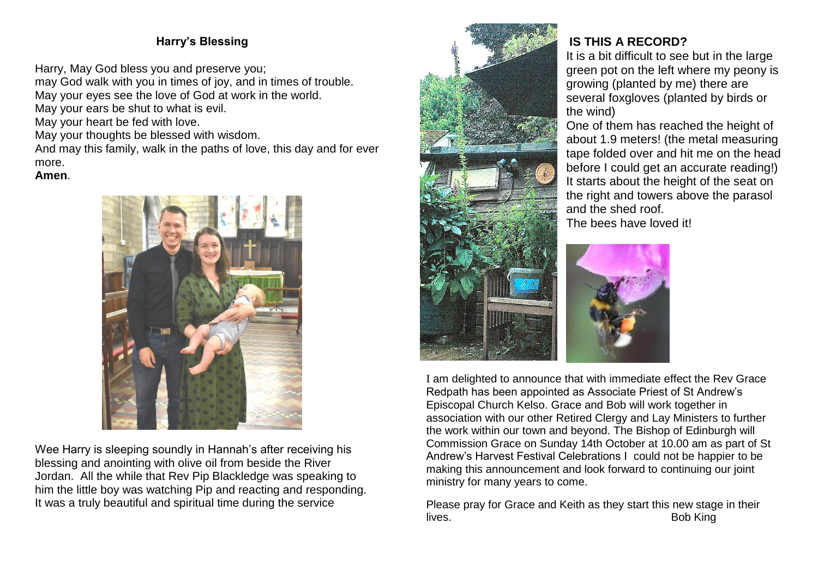# **Harry's Blessing**

Harry, May God bless you and preserve you;

may God walk with you in times of joy, and in times of trouble. May your eyes see the love of God at work in the world.

May your ears be shut to what is evil.

May your heart be fed with love.

May your thoughts be blessed with wisdom.

And may this family, walk in the paths of love, this day and for ever more.

#### **Amen**.



Wee Harry is sleeping soundly in Hannah's after receiving his blessing and anointing with olive oil from beside the River Jordan. All the while that Rev Pip Blackledge was speaking to him the little boy was watching Pip and reacting and responding. It was a truly beautiful and spiritual time during the service



# **IS THIS A RECORD?**

It is a bit difficult to see but in the large green pot on the left where my peony is growing (planted by me) there are several foxgloves (planted by birds or the wind)

One of them has reached the height of about 1.9 meters! (the metal measuring tape folded over and hit me on the head before I could get an accurate reading!) It starts about the height of the seat on the right and towers above the parasol and the shed roof.

The bees have loved it!



I am delighted to announce that with immediate effect the Rev Grace Redpath has been appointed as Associate Priest of St Andrew's Episcopal Church Kelso. Grace and Bob will work together in association with our other Retired Clergy and Lay Ministers to further the work within our town and beyond. The Bishop of Edinburgh will Commission Grace on Sunday 14th October at 10.00 am as part of St Andrew's Harvest Festival Celebrations I could not be happier to be making this announcement and look forward to continuing our joint ministry for many years to come.

Please pray for Grace and Keith as they start this new stage in their lives.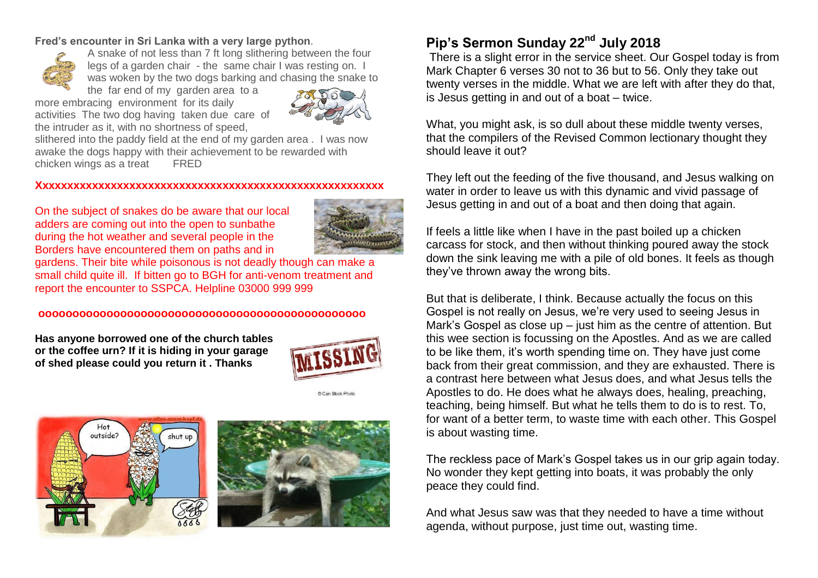#### **Fred's encounter in Sri Lanka with a very large python**.



A snake of not less than 7 ft long slithering between the four legs of a garden chair - the same chair I was resting on. I was woken by the two dogs barking and chasing the snake to

the far end of my garden area to a more embracing environment for its daily activities The two dog having taken due care of the intruder as it, with no shortness of speed,



slithered into the paddy field at the end of my garden area . I was now awake the dogs happy with their achievement to be rewarded with chicken wings as a treat FRED

#### **Xxxxxxxxxxxxxxxxxxxxxxxxxxxxxxxxxxxxxxxxxxxxxxxxxxxxxxxx**

On the subject of snakes do be aware that our local adders are coming out into the open to sunbathe during the hot weather and several people in the Borders have encountered them on paths and in



gardens. Their bite while poisonous is not deadly though can make a small child quite ill. If bitten go to BGH for anti-venom treatment and report the encounter to SSPCA. Helpline 03000 999 999

#### **oooooooooooooooooooooooooooooooooooooooooooooooo**

**Has anyone borrowed one of the church tables or the coffee urn? If it is hiding in your garage of shed please could you return it . Thanks**



C.Can Stock Phot





# **Pip's Sermon Sunday 22nd July 2018**

There is a slight error in the service sheet. Our Gospel today is from Mark Chapter 6 verses 30 not to 36 but to 56. Only they take out twenty verses in the middle. What we are left with after they do that, is Jesus getting in and out of a boat – twice.

What, you might ask, is so dull about these middle twenty verses, that the compilers of the Revised Common lectionary thought they should leave it out?

They left out the feeding of the five thousand, and Jesus walking on water in order to leave us with this dynamic and vivid passage of Jesus getting in and out of a boat and then doing that again.

If feels a little like when I have in the past boiled up a chicken carcass for stock, and then without thinking poured away the stock down the sink leaving me with a pile of old bones. It feels as though they've thrown away the wrong bits.

But that is deliberate, I think. Because actually the focus on this Gospel is not really on Jesus, we're very used to seeing Jesus in Mark's Gospel as close up – just him as the centre of attention. But this wee section is focussing on the Apostles. And as we are called to be like them, it's worth spending time on. They have just come back from their great commission, and they are exhausted. There is a contrast here between what Jesus does, and what Jesus tells the Apostles to do. He does what he always does, healing, preaching, teaching, being himself. But what he tells them to do is to rest. To, for want of a better term, to waste time with each other. This Gospel is about wasting time.

The reckless pace of Mark's Gospel takes us in our grip again today. No wonder they kept getting into boats, it was probably the only peace they could find.

And what Jesus saw was that they needed to have a time without agenda, without purpose, just time out, wasting time.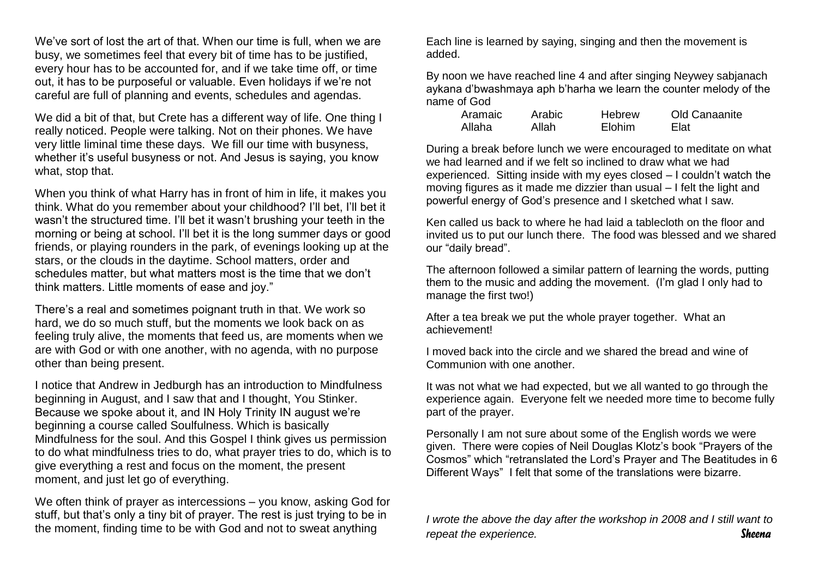We've sort of lost the art of that. When our time is full, when we are busy, we sometimes feel that every bit of time has to be justified, every hour has to be accounted for, and if we take time off, or time out, it has to be purposeful or valuable. Even holidays if we're not careful are full of planning and events, schedules and agendas.

We did a bit of that, but Crete has a different way of life. One thing I really noticed. People were talking. Not on their phones. We have very little liminal time these days. We fill our time with busyness, whether it's useful busyness or not. And Jesus is saying, you know what, stop that.

When you think of what Harry has in front of him in life, it makes you think. What do you remember about your childhood? I'll bet, I'll bet it wasn't the structured time. I'll bet it wasn't brushing your teeth in the morning or being at school. I'll bet it is the long summer days or good friends, or playing rounders in the park, of evenings looking up at the stars, or the clouds in the daytime. School matters, order and schedules matter, but what matters most is the time that we don't think matters. Little moments of ease and joy."

There's a real and sometimes poignant truth in that. We work so hard, we do so much stuff, but the moments we look back on as feeling truly alive, the moments that feed us, are moments when we are with God or with one another, with no agenda, with no purpose other than being present.

I notice that Andrew in Jedburgh has an introduction to Mindfulness beginning in August, and I saw that and I thought, You Stinker. Because we spoke about it, and IN Holy Trinity IN august we're beginning a course called Soulfulness. Which is basically Mindfulness for the soul. And this Gospel I think gives us permission to do what mindfulness tries to do, what prayer tries to do, which is to give everything a rest and focus on the moment, the present moment, and just let go of everything.

We often think of prayer as intercessions – you know, asking God for stuff, but that's only a tiny bit of prayer. The rest is just trying to be in the moment, finding time to be with God and not to sweat anything

Each line is learned by saying, singing and then the movement is added.

By noon we have reached line 4 and after singing Neywey sabjanach aykana d'bwashmaya aph b'harha we learn the counter melody of the name of God

| Aramaic | Arabic | Hebrew        | Old Canaanite |
|---------|--------|---------------|---------------|
| Allaha  | Allah  | <b>Elohim</b> | Elat          |

During a break before lunch we were encouraged to meditate on what we had learned and if we felt so inclined to draw what we had experienced. Sitting inside with my eyes closed – I couldn't watch the moving figures as it made me dizzier than usual – I felt the light and powerful energy of God's presence and I sketched what I saw.

Ken called us back to where he had laid a tablecloth on the floor and invited us to put our lunch there. The food was blessed and we shared our "daily bread".

The afternoon followed a similar pattern of learning the words, putting them to the music and adding the movement. (I'm glad I only had to manage the first two!)

After a tea break we put the whole prayer together. What an achievement!

I moved back into the circle and we shared the bread and wine of Communion with one another.

It was not what we had expected, but we all wanted to go through the experience again. Everyone felt we needed more time to become fully part of the prayer.

Personally I am not sure about some of the English words we were given. There were copies of Neil Douglas Klotz's book "Prayers of the Cosmos" which "retranslated the Lord's Prayer and The Beatitudes in 6 Different Ways" I felt that some of the translations were bizarre.

*I wrote the above the day after the workshop in 2008 and I still want to repeat the experience. Sheena*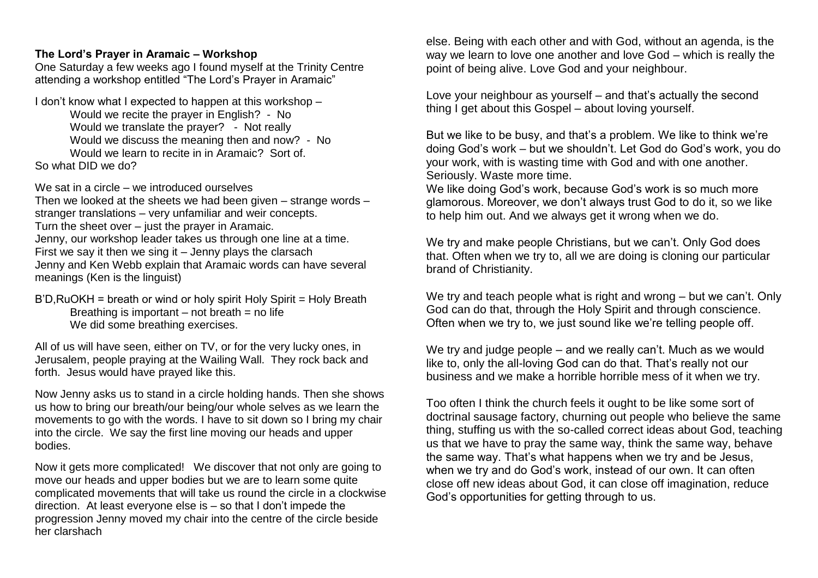#### **The Lord's Prayer in Aramaic – Workshop**

One Saturday a few weeks ago I found myself at the Trinity Centre attending a workshop entitled "The Lord's Prayer in Aramaic"

I don't know what I expected to happen at this workshop – Would we recite the prayer in English? - No Would we translate the prayer? - Not really Would we discuss the meaning then and now? - No Would we learn to recite in in Aramaic? Sort of. So what DID we do?

We sat in a circle – we introduced ourselves Then we looked at the sheets we had been given – strange words – stranger translations – very unfamiliar and weir concepts. Turn the sheet over – just the prayer in Aramaic. Jenny, our workshop leader takes us through one line at a time. First we say it then we sing it – Jenny plays the clarsach Jenny and Ken Webb explain that Aramaic words can have several meanings (Ken is the linguist)

B'D,RuOKH = breath or wind or holy spirit Holy Spirit = Holy Breath Breathing is important  $-$  not breath  $=$  no life We did some breathing exercises.

All of us will have seen, either on TV, or for the very lucky ones, in Jerusalem, people praying at the Wailing Wall. They rock back and forth. Jesus would have prayed like this.

Now Jenny asks us to stand in a circle holding hands. Then she shows us how to bring our breath/our being/our whole selves as we learn the movements to go with the words. I have to sit down so I bring my chair into the circle. We say the first line moving our heads and upper bodies.

Now it gets more complicated! We discover that not only are going to move our heads and upper bodies but we are to learn some quite complicated movements that will take us round the circle in a clockwise direction. At least everyone else is – so that I don't impede the progression Jenny moved my chair into the centre of the circle beside her clarshach

else. Being with each other and with God, without an agenda, is the way we learn to love one another and love God – which is really the point of being alive. Love God and your neighbour.

Love your neighbour as yourself – and that's actually the second thing I get about this Gospel – about loving yourself.

But we like to be busy, and that's a problem. We like to think we're doing God's work – but we shouldn't. Let God do God's work, you do your work, with is wasting time with God and with one another. Seriously. Waste more time.

We like doing God's work, because God's work is so much more glamorous. Moreover, we don't always trust God to do it, so we like to help him out. And we always get it wrong when we do.

We try and make people Christians, but we can't. Only God does that. Often when we try to, all we are doing is cloning our particular brand of Christianity.

We try and teach people what is right and wrong – but we can't. Only God can do that, through the Holy Spirit and through conscience. Often when we try to, we just sound like we're telling people off.

We try and judge people – and we really can't. Much as we would like to, only the all-loving God can do that. That's really not our business and we make a horrible horrible mess of it when we try.

Too often I think the church feels it ought to be like some sort of doctrinal sausage factory, churning out people who believe the same thing, stuffing us with the so-called correct ideas about God, teaching us that we have to pray the same way, think the same way, behave the same way. That's what happens when we try and be Jesus, when we try and do God's work, instead of our own. It can often close off new ideas about God, it can close off imagination, reduce God's opportunities for getting through to us.